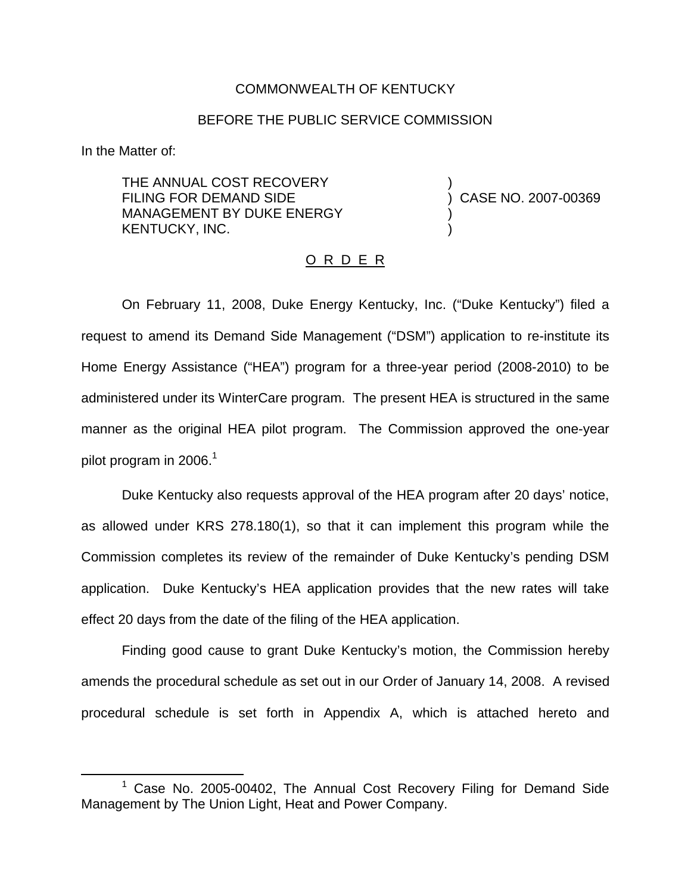#### COMMONWEALTH OF KENTUCKY

#### BEFORE THE PUBLIC SERVICE COMMISSION

In the Matter of:

THE ANNUAL COST RECOVERY FILING FOR DEMAND SIDE MANAGEMENT BY DUKE ENERGY KENTUCKY, INC.

) CASE NO. 2007-00369

)

) )

### O R D E R

On February 11, 2008, Duke Energy Kentucky, Inc. ("Duke Kentucky") filed a request to amend its Demand Side Management ("DSM") application to re-institute its Home Energy Assistance ("HEA") program for a three-year period (2008-2010) to be administered under its WinterCare program. The present HEA is structured in the same manner as the original HEA pilot program. The Commission approved the one-year pilot program in 2006. $1$ 

Duke Kentucky also requests approval of the HEA program after 20 days' notice, as allowed under KRS 278.180(1), so that it can implement this program while the Commission completes its review of the remainder of Duke Kentucky's pending DSM application. Duke Kentucky's HEA application provides that the new rates will take effect 20 days from the date of the filing of the HEA application.

Finding good cause to grant Duke Kentucky's motion, the Commission hereby amends the procedural schedule as set out in our Order of January 14, 2008. A revised procedural schedule is set forth in Appendix A, which is attached hereto and

 $1$  Case No. 2005-00402, The Annual Cost Recovery Filing for Demand Side Management by The Union Light, Heat and Power Company.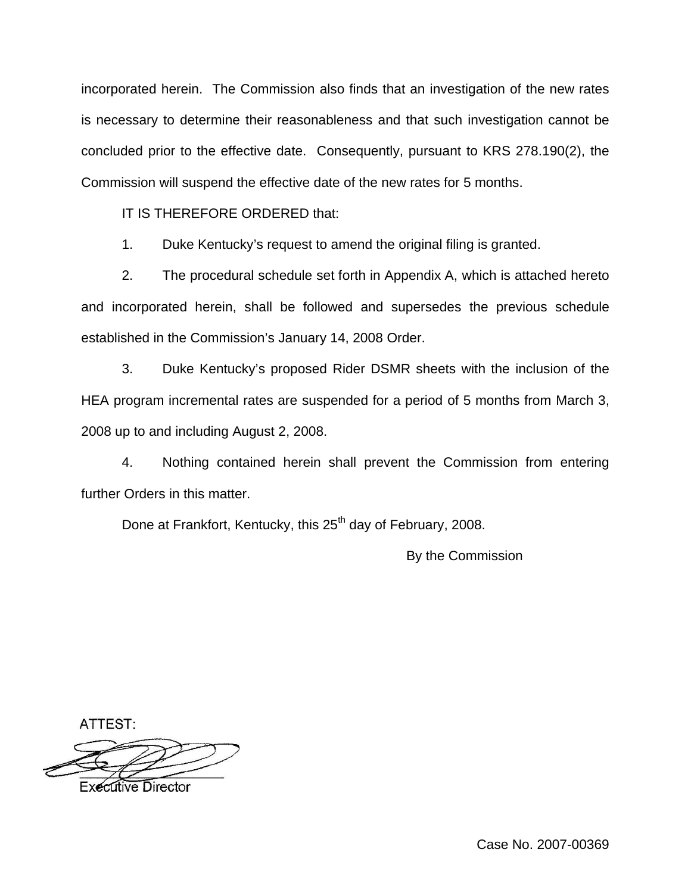incorporated herein. The Commission also finds that an investigation of the new rates is necessary to determine their reasonableness and that such investigation cannot be concluded prior to the effective date. Consequently, pursuant to KRS 278.190(2), the Commission will suspend the effective date of the new rates for 5 months.

IT IS THEREFORE ORDERED that:

1. Duke Kentucky's request to amend the original filing is granted.

2. The procedural schedule set forth in Appendix A, which is attached hereto and incorporated herein, shall be followed and supersedes the previous schedule established in the Commission's January 14, 2008 Order.

3. Duke Kentucky's proposed Rider DSMR sheets with the inclusion of the HEA program incremental rates are suspended for a period of 5 months from March 3, 2008 up to and including August 2, 2008.

4. Nothing contained herein shall prevent the Commission from entering further Orders in this matter.

Done at Frankfort, Kentucky, this 25<sup>th</sup> day of February, 2008.

By the Commission

ATTEST:

**Executive Director**